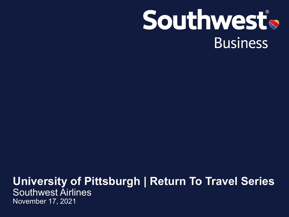# Southwest® **Business**

### **University of Pittsburgh | Return To Travel Series**  Southwest Airlines November 17, 2021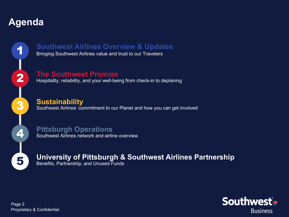### **Agenda**



# **This Southwest Airlines Overview & Updates**<br>Bringing Southwest Airlines value and trust to our Travelers

#### **The Southwest Promise**

Hospitality, reliability, and your well-being from check-in to deplaning

### **Sustainability**

Southwest Airlines' commitment to our Planet and how you can get involved

**Pittsburgh Operations**  Southwest Airlines network and airline overview

**5** University of Pittsburgh & Southwest Airlines Partnership<br> **Example 20** Benefits. Partnership. and Unused Funds Benefits, Partnership, and Unused Funds

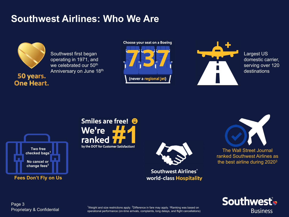# **Southwest Airlines: Who We Are**



Southwest first began operating in 1971, and we celebrated our 50<sup>th</sup> Anniversary on June 18th

50 years. **One Heart.**  Choose your seat on a Boeing (never a regional jet)



Largest US domestic carrier, serving over 120 destinations







**Southwest Airlines®** world-class Hospitality





Proprietary & Confidential Page 3

 $^{\text{1}}$ Weight and size restrictions apply.  $^{\text{2}}$ Difference in fare may apply.  $^{\text{3}}$ Ranking was based on operational performance (on-time arrivals, complaints, long delays, and flight cancellations)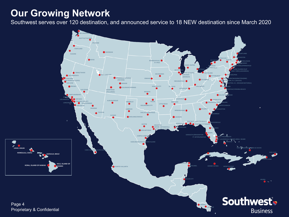### **Our Growing Network**

Southwest serves over 120 destination, and announced service to 18 NEW destination since March 2020

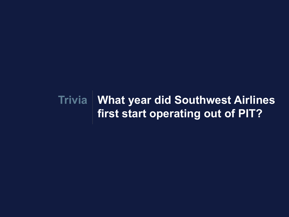# **What year did Southwest Airlines Triviafirst start operating out of PIT?**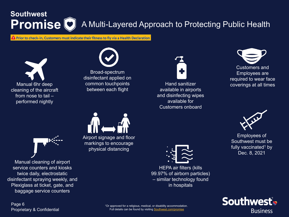# **Southwest Promise D** A Multi-Layered Approach to Protecting Public Health

**A** Prior to check-in, Customers must indicate their fitness to fly via a Health Declaration





Broad-spectrum disinfectant applied on common touchpoints between each flight







Employees of Southwest must be fully vaccinated<sup>1</sup> by Dec. 8, 2021





Manual cleaning of airport service counters and kiosks twice daily, electrostatic disinfectant spraying weekly, and Plexiglass at ticket, gate, and baggage service counters



Airport signage and floor markings to encourage physical distancing



HEPA air filters (kills 99.97% of airborn particles) – similar technology found in hospitals

Proprietary & Confidential Page 6

<sup>1</sup>Or approved for a religious, medical, or disability accommodation. Full details can be found by visiting [Southwest.com/promise](https://www.southwest.com/airline-cleanliness-social-distance/?clk=CVLP_FAQ)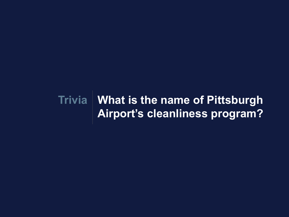# **What is the name of Pittsburgh TriviaAirport's cleanliness program?**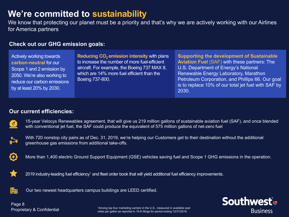### **We're committed to sustainability**

We know that protecting our planet must be a priority and that's why we are actively working with our Airlines for America partners

#### **Check out our GHG emission goals:**

Actively working towards **carbon-neutral** for our Scope 1 and 2 emission by 2050. We're also working to reduce our carbon emissions by at least 20% by 2030.

**Reducing CO<sub>2</sub> emission intensity with plans** to increase the number of more fuel-efficient aircraft. For example, the Boeing 737 MAX 8, which are 14% more fuel efficient than the Boeing 737-800.

**Supporting the development of Sustainable Aviation Fuel** (SAF) with these partners: The U.S. Department of Energy's National Renewable Energy Laboratory, Marathon Petroleum Corporation, and Phillips 66. Our goal is to replace 10% of our total jet fuel with SAF by 2030.

#### **Our current efficiencies:**



15-year Velocys Renewables agreement, that will give us 219 million gallons of sustainable aviation fuel (SAF), and once blended with conventional jet fuel, the SAF could produce the equivalent of 575 million gallons of net-zero fuel



 $\mathbf{O}$ 

With 720 nonstop city pairs as of Dec. 31, 2019, we're helping our Customers get to their destination without the additional greenhouse gas emissions from additional take-offs.

More than 1,400 electric Ground Support Equipment (GSE) vehicles saving fuel and Scope 1 GHG emissions in the operation.



2019 industry-leading fuel efficiency<sup>1</sup> and fleet order book that will yield additional fuel efficiency improvements.



Our two newest headquarters campus buildings are LEED certified.

<sup>1</sup>Among top four marketing carriers in the U.S., measured in available seat miles per gallon as reported in 10-K filings for period ending 12/31/2019.

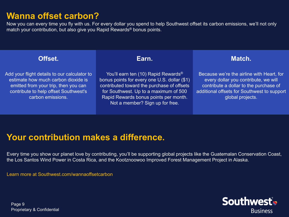### **Wanna offset carbon?**

Now you can every time you fly with us. For every dollar you spend to help Southwest offset its carbon emissions, we'll not only match your contribution, but also give you Rapid Rewards® bonus points.

#### **Offset.**

Add your flight details to our calculator to estimate how much carbon dioxide is emitted from your trip, then you can contribute to help offset Southwest's carbon emissions.

**Earn.** 

You'll earn ten (10) Rapid Rewards<sup>®</sup> bonus points for every one U.S. dollar (\$1) contributed toward the purchase of offsets for Southwest. Up to a maximum of 500 Rapid Rewards bonus points per month. Not a member? Sign up for free.

#### **Match.**

Because we're the airline with Heart, for every dollar you contribute, we will contribute a dollar to the purchase of additional offsets for Southwest to support global projects.

### **Your contribution makes a difference.**

Every time you show our planet love by contributing, you'll be supporting global projects like the Guatemalan Conservation Coast, the Los Santos Wind Power in Costa Rica, and the Kootznoowoo Improved Forest Management Project in Alaska.

Learn more at Southwest.com/wannaoffsetcarbon

Southwest® **Business** 

Proprietary & Confidential Page 9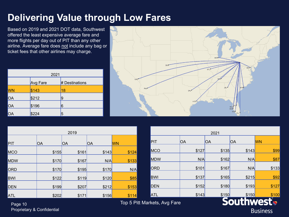## **Delivering Value through Low Fares**

Based on 2019 and 2021 DOT data, Southwest offered the least expensive average fare and more flights per day out of PIT than any other airline. Average fare does not include any bag or ticket fees that other airlines may charge.

| 2021 |          |                |  |  |
|------|----------|----------------|--|--|
|      | Avg Fare | # Destinations |  |  |
| WN   | \$143    | 18             |  |  |
| OA   | \$212    | 9              |  |  |
| OA   | \$196    | 6              |  |  |
| OA   | \$224    | 5              |  |  |



| 2019       |       |       |           |           |
|------------|-------|-------|-----------|-----------|
| PIT        | OA    | OA    | <b>OA</b> | <b>WN</b> |
| MCO        | \$155 | \$161 | \$143     | \$124     |
| <b>MDW</b> | \$170 | \$167 | N/A       | \$133     |
| ORD        | \$170 | \$195 | \$170     | N/A       |
| <b>BWI</b> | \$122 | \$119 | \$120     | \$85      |
| <b>DEN</b> | \$199 | \$207 | \$212     | \$153     |
| <b>ATL</b> | \$202 | \$171 | \$156     | \$114     |

| 2021           |       |       |       |            |  |
|----------------|-------|-------|-------|------------|--|
| PIT            | OA    | ЮA    | OA    | <b>WN</b>  |  |
| MCO            | \$127 | \$135 | \$143 | \$99       |  |
| <b>MDW</b>     | N/A   | \$162 | N/A   | \$87       |  |
| ORD            | \$101 | \$167 | N/A   | \$133      |  |
| <b>BWI</b>     | \$137 | \$165 | \$215 | \$92       |  |
| <b>DEN</b>     | \$152 | \$180 | \$193 | \$127      |  |
| <b>ATL</b>     | \$143 | \$150 | \$150 | \$100      |  |
| kets. Avg Fare |       |       |       | $\bigcirc$ |  |

Proprietary & Confidential Page 10

Top 5 Pitt Mar

**Business**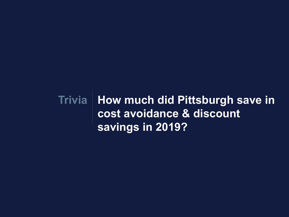**How much did Pittsburgh save in Triviacost avoidance & discount savings in 2019?**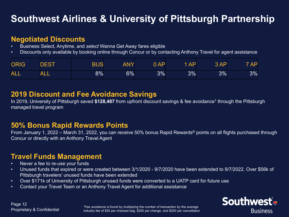# **Southwest Airlines & University of Pittsburgh Partnership**

#### **Negotiated Discounts**

- Business Select, Anytime, and *select* Wanna Get Away fares eligible
- Discounts only available by booking online through Concur or by contacting Anthony Travel for agent assistance

| <b>ORIG</b> | DEST       | <b>BUS</b> | ANY | 0AP   | $1$ AP | 3AP | 7 AP |
|-------------|------------|------------|-----|-------|--------|-----|------|
| <b>ALL</b>  | <b>ALL</b> | $8\%$      | 6%  | $3\%$ | 3%     | 3%  | 3%   |

#### **2019 Discount and Fee Avoidance Savings**

In 2019, University of Pittsburgh saved **\$128,487** from upfront discount savings & fee avoidance1 through the Pittsburgh managed travel program

#### **50% Bonus Rapid Rewards Points**

From January 1, 2022 – March 31, 2022, you can receive 50% bonus Rapid Rewards® points on all flights purchased through Concur or directly with an Anthony Travel Agent

### **Travel Funds Management**

- Never a fee to re-use your funds
- Unused funds that expired or were created between 3/1/2020 9/7/2020 have been extended to 9/7/2022. Over \$56k of Pittsburgh travelers' unused funds have been extended
- Over \$171k of University of Pittsburgh unused funds were converted to a UATP card for future use
- Contact your Travel Team or an Anthony Travel Agent for additional assistance



<sup>1</sup>Fee avoidance is found by multiplying the number of transaction by the average industry fee of \$30 per checked bag, \$200 per change, and \$200 per cancellation